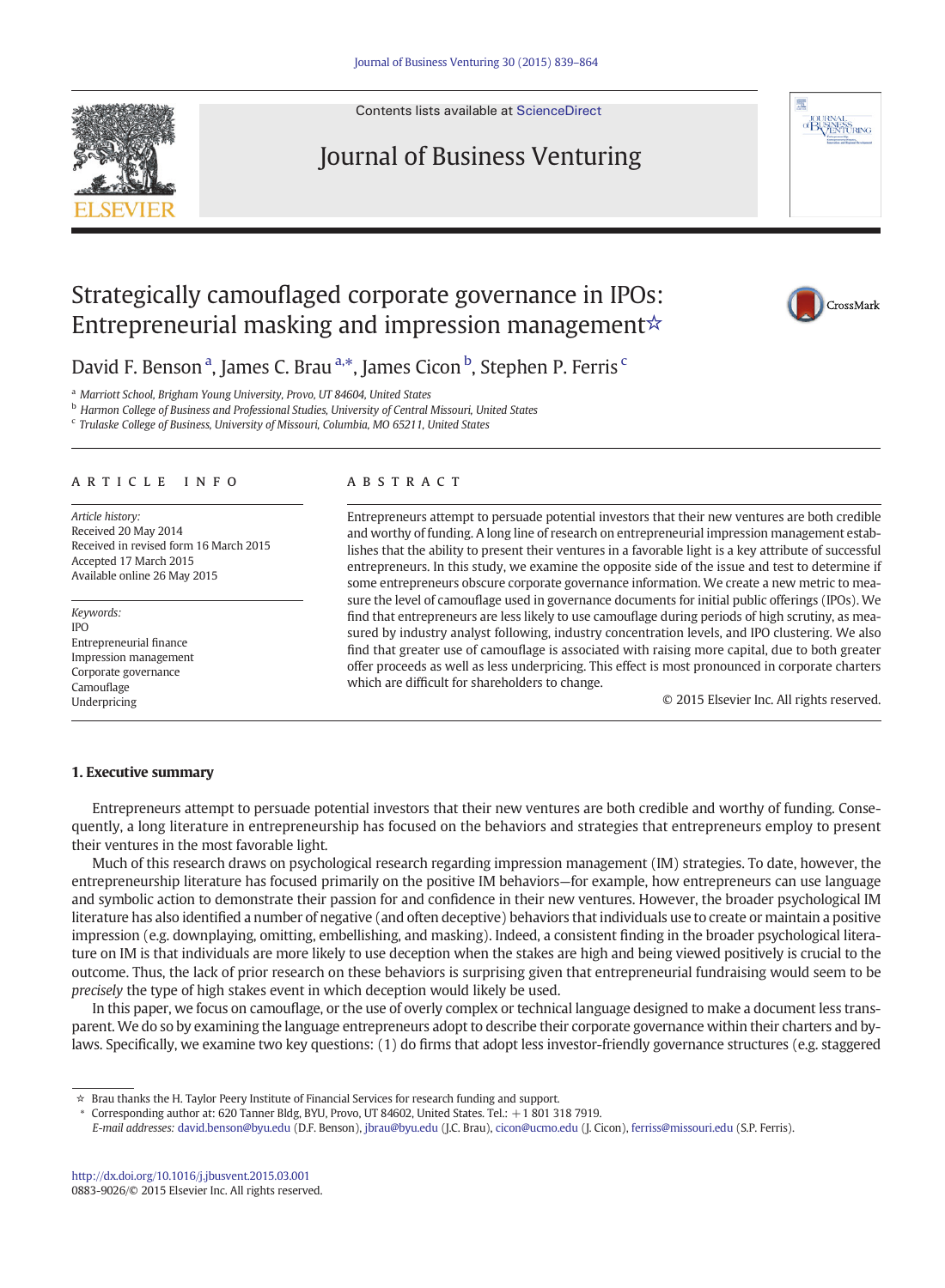

Contents lists available at [ScienceDirect](http://www.sciencedirect.com/science/journal/08839026)

## Journal of Business Venturing



## Strategically camouflaged corporate governance in IPOs: Entrepreneurial masking and impression management☆



David F. Benson<sup>a</sup>, James C. Brau<sup>a,\*</sup>, James Cicon<sup>b</sup>, Stephen P. Ferris<sup>c</sup>

<sup>a</sup> Marriott School, Brigham Young University, Provo, UT 84604, United States

b Harmon College of Business and Professional Studies, University of Central Missouri, United States

<sup>c</sup> Trulaske College of Business, University of Missouri, Columbia, MO 65211, United States

### article info abstract

Article history: Received 20 May 2014 Received in revised form 16 March 2015 Accepted 17 March 2015 Available online 26 May 2015

Keywords: IPO Entrepreneurial finance Impression management Corporate governance Camouflage Underpricing

Entrepreneurs attempt to persuade potential investors that their new ventures are both credible and worthy of funding. A long line of research on entrepreneurial impression management establishes that the ability to present their ventures in a favorable light is a key attribute of successful entrepreneurs. In this study, we examine the opposite side of the issue and test to determine if some entrepreneurs obscure corporate governance information. We create a new metric to measure the level of camouflage used in governance documents for initial public offerings (IPOs). We find that entrepreneurs are less likely to use camouflage during periods of high scrutiny, as measured by industry analyst following, industry concentration levels, and IPO clustering. We also find that greater use of camouflage is associated with raising more capital, due to both greater offer proceeds as well as less underpricing. This effect is most pronounced in corporate charters which are difficult for shareholders to change.

© 2015 Elsevier Inc. All rights reserved.

### 1. Executive summary

Entrepreneurs attempt to persuade potential investors that their new ventures are both credible and worthy of funding. Consequently, a long literature in entrepreneurship has focused on the behaviors and strategies that entrepreneurs employ to present their ventures in the most favorable light.

Much of this research draws on psychological research regarding impression management (IM) strategies. To date, however, the entrepreneurship literature has focused primarily on the positive IM behaviors—for example, how entrepreneurs can use language and symbolic action to demonstrate their passion for and confidence in their new ventures. However, the broader psychological IM literature has also identified a number of negative (and often deceptive) behaviors that individuals use to create or maintain a positive impression (e.g. downplaying, omitting, embellishing, and masking). Indeed, a consistent finding in the broader psychological literature on IM is that individuals are more likely to use deception when the stakes are high and being viewed positively is crucial to the outcome. Thus, the lack of prior research on these behaviors is surprising given that entrepreneurial fundraising would seem to be precisely the type of high stakes event in which deception would likely be used.

In this paper, we focus on camouflage, or the use of overly complex or technical language designed to make a document less transparent. We do so by examining the language entrepreneurs adopt to describe their corporate governance within their charters and bylaws. Specifically, we examine two key questions: (1) do firms that adopt less investor-friendly governance structures (e.g. staggered

E-mail addresses: [david.benson@byu.edu](mailto:david.benson@byu.edu) (D.F. Benson), [jbrau@byu.edu](mailto:jbrau@byu.edu) (J.C. Brau), [cicon@ucmo.edu](mailto:cicon@ucmo.edu) (J. Cicon), [ferriss@missouri.edu](mailto:ferriss@missouri.edu) (S.P. Ferris).

 $\star$  Brau thanks the H. Taylor Peery Institute of Financial Services for research funding and support.

<sup>⁎</sup> Corresponding author at: 620 Tanner Bldg, BYU, Provo, UT 84602, United States. Tel.: +1 801 318 7919.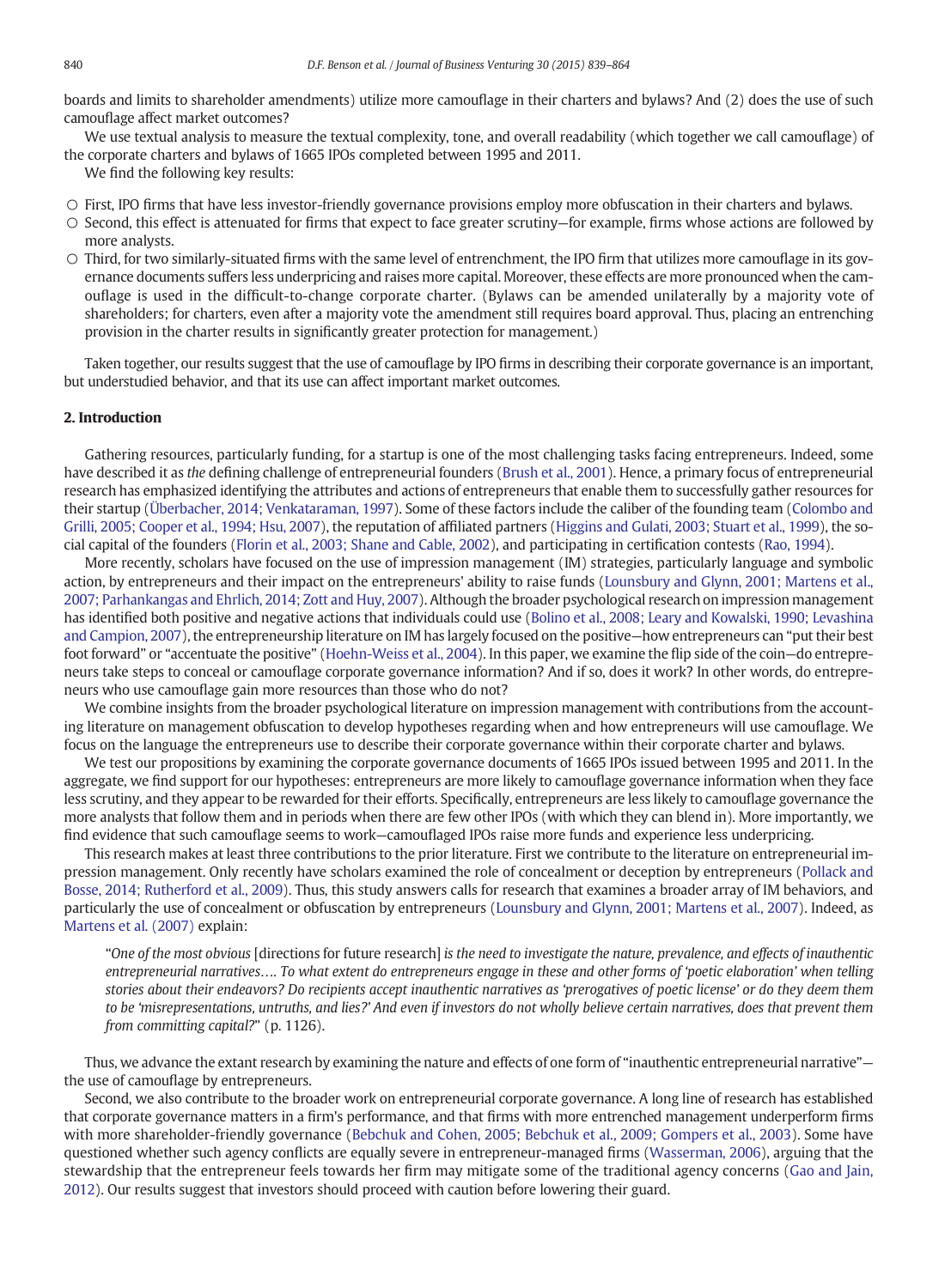boards and limits to shareholder amendments) utilize more camouflage in their charters and bylaws? And (2) does the use of such camouflage affect market outcomes?

We use textual analysis to measure the textual complexity, tone, and overall readability (which together we call camouflage) of the corporate charters and bylaws of 1665 IPOs completed between 1995 and 2011.

We find the following key results:

- First, IPO firms that have less investor-friendly governance provisions employ more obfuscation in their charters and bylaws.
- Second, this effect is attenuated for firms that expect to face greater scrutiny—for example, firms whose actions are followed by more analysts.
- Third, for two similarly-situated firms with the same level of entrenchment, the IPO firm that utilizes more camouflage in its governance documents suffers less underpricing and raises more capital. Moreover, these effects are more pronounced when the camouflage is used in the difficult-to-change corporate charter. (Bylaws can be amended unilaterally by a majority vote of shareholders; for charters, even after a majority vote the amendment still requires board approval. Thus, placing an entrenching provision in the charter results in significantly greater protection for management.)

Taken together, our results suggest that the use of camouflage by IPO firms in describing their corporate governance is an important, but understudied behavior, and that its use can affect important market outcomes.

### 2. Introduction

Gathering resources, particularly funding, for a startup is one of the most challenging tasks facing entrepreneurs. Indeed, some have described it as the defining challenge of entrepreneurial founders [\(Brush et al., 2001\)](#page--1-0). Hence, a primary focus of entrepreneurial research has emphasized identifying the attributes and actions of entrepreneurs that enable them to successfully gather resources for their startup [\(Überbacher, 2014; Venkataraman, 1997](#page--1-0)). Some of these factors include the caliber of the founding team [\(Colombo and](#page--1-0) [Grilli, 2005; Cooper et al., 1994; Hsu, 2007](#page--1-0)), the reputation of affiliated partners [\(Higgins and Gulati, 2003; Stuart et al., 1999\)](#page--1-0), the social capital of the founders [\(Florin et al., 2003; Shane and Cable, 2002](#page--1-0)), and participating in certification contests [\(Rao, 1994](#page--1-0)).

More recently, scholars have focused on the use of impression management (IM) strategies, particularly language and symbolic action, by entrepreneurs and their impact on the entrepreneurs' ability to raise funds [\(Lounsbury and Glynn, 2001; Martens et al.,](#page--1-0) [2007; Parhankangas and Ehrlich, 2014; Zott and Huy, 2007\)](#page--1-0). Although the broader psychological research on impression management has identified both positive and negative actions that individuals could use ([Bolino et al., 2008; Leary and Kowalski, 1990; Levashina](#page--1-0) [and Campion, 2007](#page--1-0)), the entrepreneurship literature on IM has largely focused on the positive—how entrepreneurs can "put their best foot forward" or "accentuate the positive" ([Hoehn-Weiss et al., 2004\)](#page--1-0). In this paper, we examine the flip side of the coin—do entrepreneurs take steps to conceal or camouflage corporate governance information? And if so, does it work? In other words, do entrepreneurs who use camouflage gain more resources than those who do not?

We combine insights from the broader psychological literature on impression management with contributions from the accounting literature on management obfuscation to develop hypotheses regarding when and how entrepreneurs will use camouflage. We focus on the language the entrepreneurs use to describe their corporate governance within their corporate charter and bylaws.

We test our propositions by examining the corporate governance documents of 1665 IPOs issued between 1995 and 2011. In the aggregate, we find support for our hypotheses: entrepreneurs are more likely to camouflage governance information when they face less scrutiny, and they appear to be rewarded for their efforts. Specifically, entrepreneurs are less likely to camouflage governance the more analysts that follow them and in periods when there are few other IPOs (with which they can blend in). More importantly, we find evidence that such camouflage seems to work—camouflaged IPOs raise more funds and experience less underpricing.

This research makes at least three contributions to the prior literature. First we contribute to the literature on entrepreneurial impression management. Only recently have scholars examined the role of concealment or deception by entrepreneurs [\(Pollack and](#page--1-0) [Bosse, 2014; Rutherford et al., 2009\)](#page--1-0). Thus, this study answers calls for research that examines a broader array of IM behaviors, and particularly the use of concealment or obfuscation by entrepreneurs ([Lounsbury and Glynn, 2001; Martens et al., 2007\)](#page--1-0). Indeed, as [Martens et al. \(2007\)](#page--1-0) explain:

"One of the most obvious [directions for future research] is the need to investigate the nature, prevalence, and effects of inauthentic entrepreneurial narratives…. To what extent do entrepreneurs engage in these and other forms of 'poetic elaboration' when telling stories about their endeavors? Do recipients accept inauthentic narratives as 'prerogatives of poetic license' or do they deem them to be 'misrepresentations, untruths, and lies?' And even if investors do not wholly believe certain narratives, does that prevent them from committing capital?" (p. 1126).

Thus, we advance the extant research by examining the nature and effects of one form of "inauthentic entrepreneurial narrative" the use of camouflage by entrepreneurs.

Second, we also contribute to the broader work on entrepreneurial corporate governance. A long line of research has established that corporate governance matters in a firm's performance, and that firms with more entrenched management underperform firms with more shareholder-friendly governance ([Bebchuk and Cohen, 2005; Bebchuk et al., 2009; Gompers et al., 2003\)](#page--1-0). Some have questioned whether such agency conflicts are equally severe in entrepreneur-managed firms [\(Wasserman, 2006](#page--1-0)), arguing that the stewardship that the entrepreneur feels towards her firm may mitigate some of the traditional agency concerns ([Gao and Jain,](#page--1-0) [2012\)](#page--1-0). Our results suggest that investors should proceed with caution before lowering their guard.